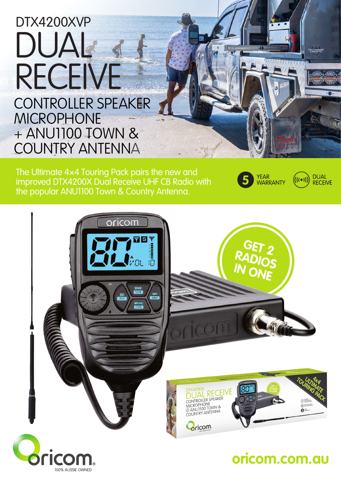# DUAL RECEIVE DTX4200XVP CONTROLLER SPEAKER MICROPHONE + ANU230 ANTENNA

100% AUSSIE OWNED

The Offroad Adventure Pack pairs the new and improved DTX4200X Dual Receive UHF CB Radio with the ANU230 6.5dBi ground independent UHF CB Antenna .



(((●))

**DUAL** 

**RECEIVE** 



# **oricom.com.au**